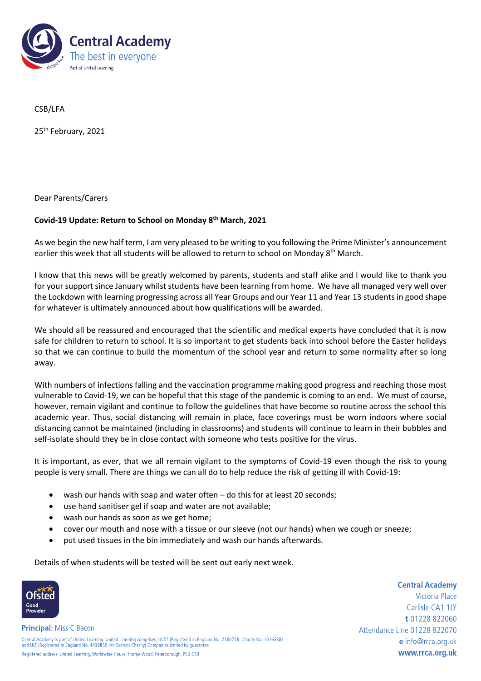

CSB/LFA

25<sup>th</sup> February, 2021

Dear Parents/Carers

## **Covid-19 Update: Return to School on Monday 8 th March, 2021**

As we begin the new half term, I am very pleased to be writing to you following the Prime Minister's announcement earlier this week that all students will be allowed to return to school on Monday 8<sup>th</sup> March.

I know that this news will be greatly welcomed by parents, students and staff alike and I would like to thank you for your support since January whilst students have been learning from home. We have all managed very well over the Lockdown with learning progressing across all Year Groups and our Year 11 and Year 13 students in good shape for whatever is ultimately announced about how qualifications will be awarded.

We should all be reassured and encouraged that the scientific and medical experts have concluded that it is now safe for children to return to school. It is so important to get students back into school before the Easter holidays so that we can continue to build the momentum of the school year and return to some normality after so long away.

With numbers of infections falling and the vaccination programme making good progress and reaching those most vulnerable to Covid-19, we can be hopeful that this stage of the pandemic is coming to an end. We must of course, however, remain vigilant and continue to follow the guidelines that have become so routine across the school this academic year. Thus, social distancing will remain in place, face coverings must be worn indoors where social distancing cannot be maintained (including in classrooms) and students will continue to learn in their bubbles and self-isolate should they be in close contact with someone who tests positive for the virus.

It is important, as ever, that we all remain vigilant to the symptoms of Covid-19 even though the risk to young people is very small. There are things we can all do to help reduce the risk of getting ill with Covid-19:

- wash our hands with soap and water often do this for at least 20 seconds;
- use hand sanitiser gel if soap and water are not available;
- wash our hands as soon as we get home;
- cover our mouth and nose with a tissue or our sleeve (not our hands) when we cough or sneeze;
- put used tissues in the bin immediately and wash our hands afterwards.

Details of when students will be tested will be sent out early next week.



**Principal:** Miss C Bacon

**Central Academy** Victoria Place Carlisle CA1 1LY t 01228 822060 Attendance Line 01228 822070 e info@rrca.org.uk www.rrca.org.uk